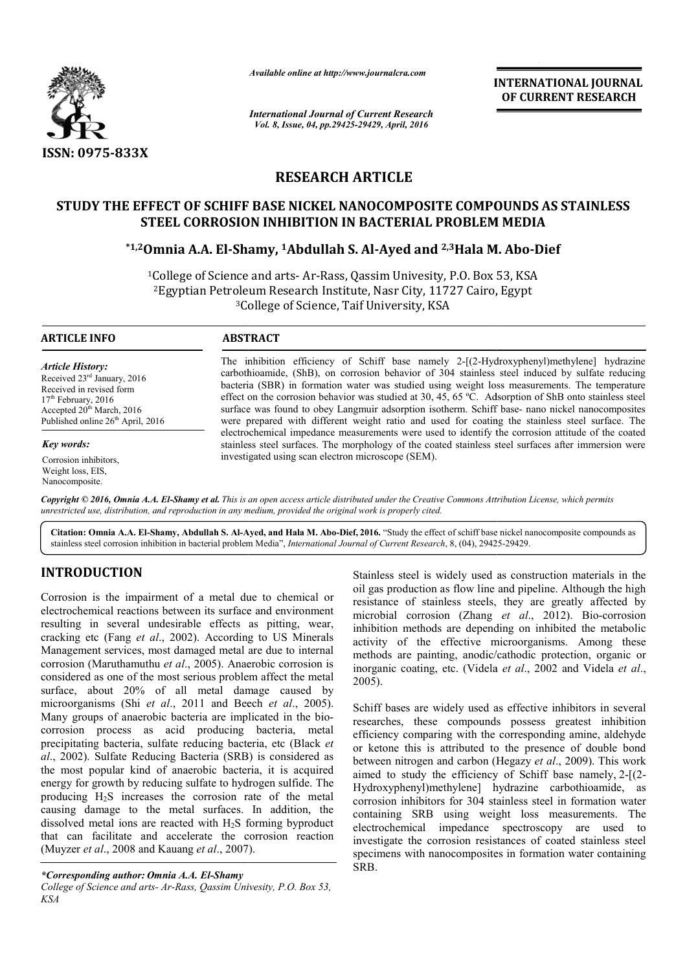

*Available online at http://www.journalcra.com*

*International Journal of Current Research Vol. 8, Issue, 04, pp.29425-29429, April, 2016*

**INTERNATIONAL JOURNAL OF CURRENT RESEARCH** 

# **RESEARCH ARTICLE**

# STUDY THE EFFECT OF SCHIFF BASE NICKEL NANOCOMPOSITE COMPOUNDS AS STAINLESS<br>STEEL CORROSION INHIBITION IN BACTERIAL PROBLEM MEDIA **STEEL CORROSION INHIBITION IN BACTERIAL PROBLEM**

## **\*1,2Omnia A.A. El-Shamy, Shamy, 1Abdullah S. Al-Ayed and 2,3Hala M. Abo Hala M. Abo-Dief**

<sup>1</sup>College of Science and arts- Ar-Rass, Qassim Univesity, P.O. Box 53, KSA College of Science and arts- Ar-Rass, Qassim Univesity, P.O. Box 53, KS.<br><sup>2</sup>Egyptian Petroleum Research Institute, Nasr City, 11727 Cairo, Egypt <sup>3</sup>College of Science, Taif University, KSA

 $\overline{a}$ 

#### **ARTICLE INFO ABSTRACT**

# *Article History:*

Received 23rd January, 2016 Received in revised form 17<sup>th</sup> February, 2016 Accepted  $20^{th}$  March, 2016 Published online  $26<sup>th</sup>$  April, 2016

*Key words:*

Corrosion inhibitors, Weight loss, EIS, Nanocomposite.

The inhibition efficiency of Schiff base namely 2 2-[(2-Hydroxyphenyl)methylene] hydrazine The inhibition efficiency of Schiff base namely 2-[(2-Hydroxyphenyl)methylene] hydrazine carbothioamide, (ShB), on corrosion behavior of 304 stainless steel induced by sulfate reducing bacteria (SBR) in formation water was studied using weight loss measurements. The temperature effect on the corrosion behavior was studied at 30, 45, 65 °C. Adsorption of ShB onto stainless steel surface was found to obey Langmuir adsorption isotherm. Schiff base were prepared with different weight ratio and used for coating the stainless steel surface. The electrochemical impedance measurements were used to identify the corrosion attitude of the coated stainles stainless steel surfaces. The morphology of the coated stainless steel surfaces after immersion were investigated using scan electron microscope (SEM). bacteria (SBR) in formation water was studied using weight loss measurements. The temperature effect on the corrosion behavior was studied at 30, 45, 65 °C. Adsorption of ShB onto stainless steel surface was found to obey were prepared with different weight ratio and used for coating the stainless steel surface.<br>electrochemical impedance measurements were used to identify the corrosion attitude of the co<br>stainless steel surfaces. The morpho

Copyright © 2016, Omnia A.A. El-Shamy et al. This is an open access article distributed under the Creative Commons Attribution License, which permits *unrestricted use, distribution, and reproduction in any medium, provided the original work is properly cited.*

Citation: Omnia A.A. El-Shamy, Abdullah S. Al-Ayed, and Hala M. Abo-Dief, 2016. "Study the effect of schiff base nickel nanocomposite compounds as stainless steel corrosion inhibition in bacterial problem Media", *International Journal of Current Research*, 8, (04), 29425-29429.

# **INTRODUCTION**

Corrosion is the impairment of a metal due to chemical or electrochemical reactions between its surface and environment resulting in several undesirable effects as pitting, wear, cracking etc (Fang *et al.*, 2002). According to US Minerals Management services, most damaged metal are due to internal corrosion (Maruthamuthu *et al*., 2005). Anaerobic corrosion is considered as one of the most serious problem affect the metal surface, about 20% of all metal damage caused by microorganisms (Shi *et al*., 2011 and Beech *et al*., 2005). Many groups of anaerobic bacteria are implicated in the bio biocorrosion process as acid producing bacteria, metal precipitating bacteria, sulfate reducing bacteria, etc (Black *et al*., 2002). Sulfate Reducing Bacteria (SRB) is considered as the most popular kind of anaerobic bacteria, it is acquired energy for growth by reducing sulfate to hydrogen sulfide. The producing H2S increases the corrosion rate of the metal causing damage to the metal surfaces. In addition, the dissolved metal ions are reacted with  $H_2S$  forming byproduct that can facilitate and accelerate the corrosion reaction (Muyzer *et al*., 2008 and Kauang *et al*., 2007 S increases the corrosion rate<br>age to the metal surfaces. In<br>al ions are reacted with  $H_2S$  for<br>ilitate and accelerate the cor<br>, 2008 and Kauang *et al.*, 2007).

*College of Science and arts- Ar-Rass, Qassim Univesity, P.O. Box 53, KSA*

oil gas production as flow line and pipeline. Although the high Stainless steel is widely used as construction materials in the<br>oil gas production as flow line and pipeline. Although the high<br>resistance of stainless steels, they are greatly affected by microbial corrosion (Zhang *et al*., 2012). Bio-corrosion inhibition methods are depending on inhibited the metabolic activity of the effective microorganisms. Among these methods are painting, anodic/cathodic protection, organic or inorganic coating, etc. (Videla et al., 2002 and Videla et al., 2005). inhibition methods are depending on inhibited the metabolic activity of the effective microorganisms. Among these methods are painting, anodic/cathodic protection, organic or inorganic coating, etc. (Videla *et al.*, 2002

For a metal due to chemical or stainless steel is widely used as construction materials in the vectom in the symptom of the symptom as flow line and pipeline. Although the high production as flow line and pipeline. Althoug Schiff bases are widely used as effective inhibitors in several researches, these compounds possess greatest inhibition efficiency comparing with the corresponding amine, aldehyde or ketone this is attributed to the presence of double bond between nitrogen and carbon (Hegazy *et al.*, 2009). This work aimed to study the efficiency of Schiff base namely,  $2-[2-1]$ Hydroxyphenyl)methylene] hydrazine carbothioamide, as corrosion inhibitors for 304 stainless steel in formation water containing SRB using weight loss measurements. The electrochemical impedance spectroscopy are used to investigate the corrosion resistances of coated stainless steel specimens with nanocomposites in formation water containing SRB. Schiff bases are widely used as effective inhibitors in several researches, these compounds possess greatest inhibition efficiency comparing with the corresponding amine, aldehyde or ketone this is attributed to the presen INTERNATIONAL JOURNAL<br>
CONTRENATIONAL JOURNAL<br>
CONTRENATIONAL JOURNAL<br>
2016<br>
FOSITE COMPOUNDS AS STAINLESS<br>
EQUENCEMENT RESEARCH<br>
1016<br>
1016<br>
23 Falala M. Abo-Dief<br>
1end 2.3 Halala M. Abo-Dief<br>
ivesity, P.O. Box 53, KSA<br>

*<sup>\*</sup>Corresponding author: Omnia A.A. El-Shamy*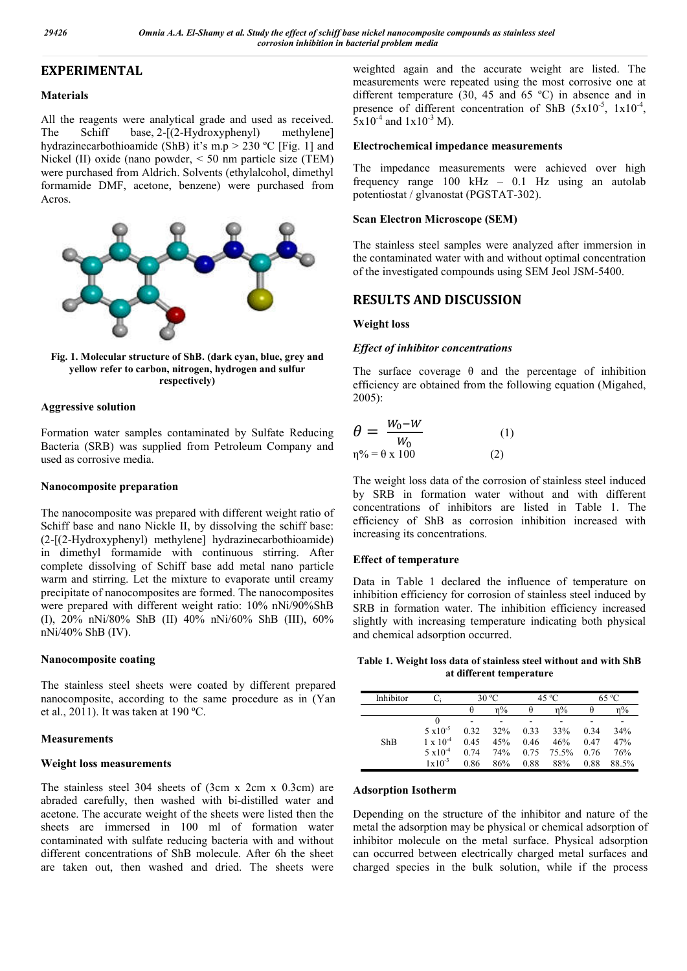# **EXPERIMENTAL**

## **Materials**

All the reagents were analytical grade and used as received. The Schiff base, 2-[(2-Hydroxyphenyl) methylene] hydrazinecarbothioamide (ShB) it's m.p  $> 230$  °C [Fig. 1] and Nickel (II) oxide (nano powder, < 50 nm particle size (TEM) were purchased from Aldrich. Solvents (ethylalcohol, dimethyl formamide DMF, acetone, benzene) were purchased from Acros.



**Fig. 1. Molecular structure of ShB. (dark cyan, blue, grey and yellow refer to carbon, nitrogen, hydrogen and sulfur respectively)**

## **Aggressive solution**

Formation water samples contaminated by Sulfate Reducing Bacteria (SRB) was supplied from Petroleum Company and used as corrosive media.

## **Nanocomposite preparation**

The nanocomposite was prepared with different weight ratio of Schiff base and nano Nickle II, by dissolving the schiff base: (2-[(2-Hydroxyphenyl) methylene] hydrazinecarbothioamide) in dimethyl formamide with continuous stirring. After complete dissolving of Schiff base add metal nano particle warm and stirring. Let the mixture to evaporate until creamy precipitate of nanocomposites are formed. The nanocomposites were prepared with different weight ratio:  $10\%$  nNi/90%ShB (I), 20% nNi/80% ShB (II) 40% nNi/60% ShB (III), 60% nNi/40% ShB (IV).

## **Nanocomposite coating**

The stainless steel sheets were coated by different prepared nanocomposite, according to the same procedure as in (Yan et al., 2011). It was taken at 190 ºC.

## **Measurements**

## **Weight loss measurements**

The stainless steel 304 sheets of (3cm x 2cm x 0.3cm) are abraded carefully, then washed with bi-distilled water and acetone. The accurate weight of the sheets were listed then the sheets are immersed in 100 ml of formation water contaminated with sulfate reducing bacteria with and without different concentrations of ShB molecule. After 6h the sheet are taken out, then washed and dried. The sheets were

weighted again and the accurate weight are listed. The measurements were repeated using the most corrosive one at different temperature (30, 45 and 65 ºC) in absence and in presence of different concentration of ShB  $(5x10^{-5}, 1x10^{-4},$  $5x10^{-4}$  and  $1x10^{-3}$  M).

## **Electrochemical impedance measurements**

The impedance measurements were achieved over high frequency range 100 kHz – 0.1 Hz using an autolab potentiostat / glvanostat (PGSTAT-302).

## **Scan Electron Microscope (SEM)**

The stainless steel samples were analyzed after immersion in the contaminated water with and without optimal concentration of the investigated compounds using SEM Jeol JSM-5400.

# **RESULTS AND DISCUSSION**

## **Weight loss**

## *Effect of inhibitor concentrations*

The surface coverage  $\theta$  and the percentage of inhibition efficiency are obtained from the following equation (Migahed, 2005):

$$
\theta = \frac{W_0 - W}{W_0}
$$
\n
$$
\eta\% = \theta \times 100
$$
\n(1)

The weight loss data of the corrosion of stainless steel induced by SRB in formation water without and with different concentrations of inhibitors are listed in Table 1. The efficiency of ShB as corrosion inhibition increased with increasing its concentrations.

## **Effect of temperature**

Data in Table 1 declared the influence of temperature on inhibition efficiency for corrosion of stainless steel induced by SRB in formation water. The inhibition efficiency increased slightly with increasing temperature indicating both physical and chemical adsorption occurred.

**Table 1. Weight loss data of stainless steel without and with ShB at different temperature**

| Inhibitor |                    | 30 °C |       | $45^{\circ}$ C |       | 65 °C |       |
|-----------|--------------------|-------|-------|----------------|-------|-------|-------|
|           |                    | θ     | $n\%$ | θ              | n%    | θ     |       |
| ShB       |                    |       |       |                |       |       |       |
|           | $5 \times 10^{-5}$ | 0.32  | 32%   | 0.33           | 33%   | 0.34  | 34%   |
|           | $1 \times 10^{-4}$ | 0.45  | 45%   | 0.46           | 46%   | 0.47  | 47%   |
|           | $5 \times 10^{-4}$ | 0.74  | 74%   | 0.75           | 75.5% | 0.76  | 76%   |
|           | $1 \times 10^{-3}$ | 0.86  | 86%   | 0.88           | 88%   | 0.88  | 88.5% |

#### **Adsorption Isotherm**

Depending on the structure of the inhibitor and nature of the metal the adsorption may be physical or chemical adsorption of inhibitor molecule on the metal surface. Physical adsorption can occurred between electrically charged metal surfaces and charged species in the bulk solution, while if the process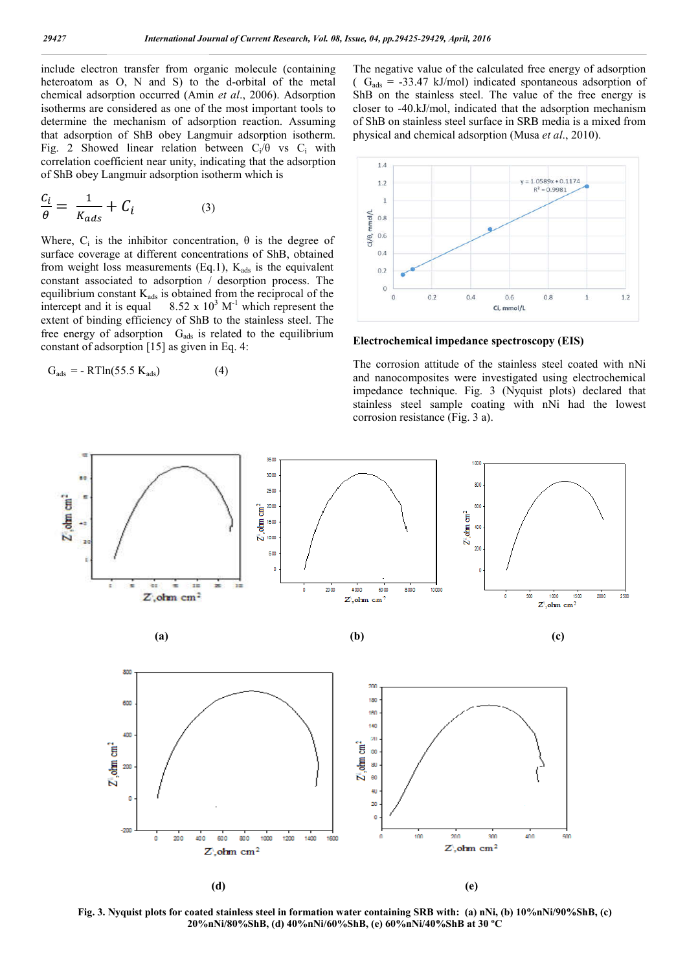include electron transfer from organic molecule (containing heteroatom as O, N and S) to the d-orbital of the metal chemical adsorption occurred (Amin *et al*., 2006). Adsorption isotherms are considered as one of the most important tools to determine the mechanism of adsorption reaction. Assuming that adsorption of ShB obey Langmuir adsorption isotherm. Fig. 2 Showed linear relation between  $C_i/\theta$  vs  $C_i$  with correlation coefficient near unity, indicating that the adsorption of ShB obey Langmuir adsorption isotherm which is

$$
\frac{C_i}{\theta} = \frac{1}{K_{ads}} + C_i \tag{3}
$$

Where,  $C_i$  is the inhibitor concentration,  $\theta$  is the degree of surface coverage at different concentrations of ShB, obtained from weight loss measurements (Eq.1),  $K_{ads}$  is the equivalent constant associated to adsorption / desorption process. The equilibrium constant  $K_{ads}$  is obtained from the reciprocal of the intercept and it is equal  $8.52 \times 10^3$  M<sup>-1</sup> which represent the extent of binding efficiency of ShB to the stainless steel. The free energy of adsorption  $G_{ads}$  is related to the equilibrium constant of adsorption [15] as given in Eq. 4:

$$
G_{ads} = - RTln(55.5 K_{ads})
$$
 (4)

The negative value of the calculated free energy of adsorption  $(G_{ads} = -33.47 \text{ kJ/mol})$  indicated spontaneous adsorption of ShB on the stainless steel. The value of the free energy is closer to -40.kJ/mol, indicated that the adsorption mechanism of ShB on stainless steel surface in SRB media is a mixed from physical and chemical adsorption (Musa *et al*., 2010).



**Electrochemical impedance spectroscopy (EIS)**

The corrosion attitude of the stainless steel coated with nNi and nanocomposites were investigated using electrochemical impedance technique. Fig. 3 (Nyquist plots) declared that stainless steel sample coating with nNi had the lowest corrosion resistance (Fig. 3 a).



**Fig. 3. Nyquist plots for coated stainless steel in formation water containing SRB with: (a) nNi, (b) 10%nNi/90%ShB, (c) 20%nNi/80%ShB, (d) 40%nNi/60%ShB, (e) 60%nNi/40%ShB at 30 ºC**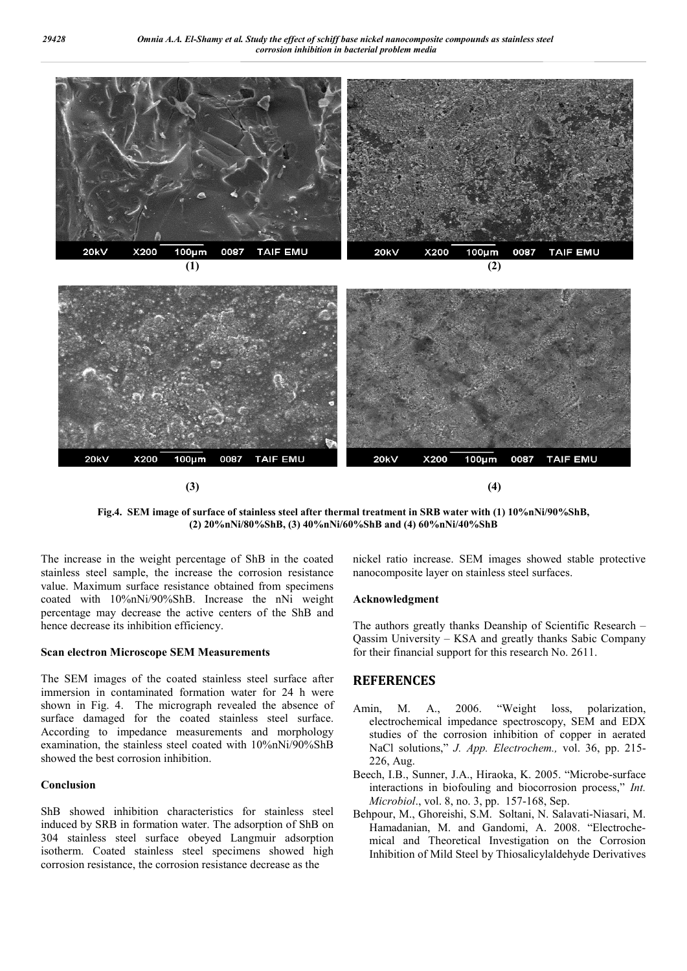

**Fig.4. SEM image of surface of stainless steel after thermal treatment in SRB water with (1) 10%nNi/90%ShB, (2) 20%nNi/80%ShB, (3) 40%nNi/60%ShB and (4) 60%nNi/40%ShB**

The increase in the weight percentage of ShB in the coated stainless steel sample, the increase the corrosion resistance value. Maximum surface resistance obtained from specimens coated with 10%nNi/90%ShB. Increase the nNi weight percentage may decrease the active centers of the ShB and hence decrease its inhibition efficiency.

#### **Scan electron Microscope SEM Measurements**

The SEM images of the coated stainless steel surface after immersion in contaminated formation water for 24 h were shown in Fig. 4. The micrograph revealed the absence of surface damaged for the coated stainless steel surface. According to impedance measurements and morphology examination, the stainless steel coated with 10%nNi/90%ShB showed the best corrosion inhibition.

#### **Conclusion**

ShB showed inhibition characteristics for stainless steel induced by SRB in formation water. The adsorption of ShB on 304 stainless steel surface obeyed Langmuir adsorption isotherm. Coated stainless steel specimens showed high corrosion resistance, the corrosion resistance decrease as the

nickel ratio increase. SEM images showed stable protective nanocomposite layer on stainless steel surfaces.

#### **Acknowledgment**

The authors greatly thanks Deanship of Scientific Research – Qassim University – KSA and greatly thanks Sabic Company for their financial support for this research No. 2611.

#### **REFERENCES**

- Amin, M. A., 2006. "Weight loss, polarization, electrochemical impedance spectroscopy, SEM and EDX studies of the corrosion inhibition of copper in aerated NaCl solutions," *J. App. Electrochem.,* vol. 36, pp. 215- 226, Aug.
- Beech, I.B., Sunner, J.A., Hiraoka, K. 2005. "Microbe-surface interactions in biofouling and biocorrosion process," *Int. Microbiol*., vol. 8, no. 3, pp. 157-168, Sep.
- Behpour, M., Ghoreishi, S.M. Soltani, N. Salavati-Niasari, M. Hamadanian, M. and Gandomi, A. 2008. "Electrochemical and Theoretical Investigation on the Corrosion Inhibition of Mild Steel by Thiosalicylaldehyde Derivatives